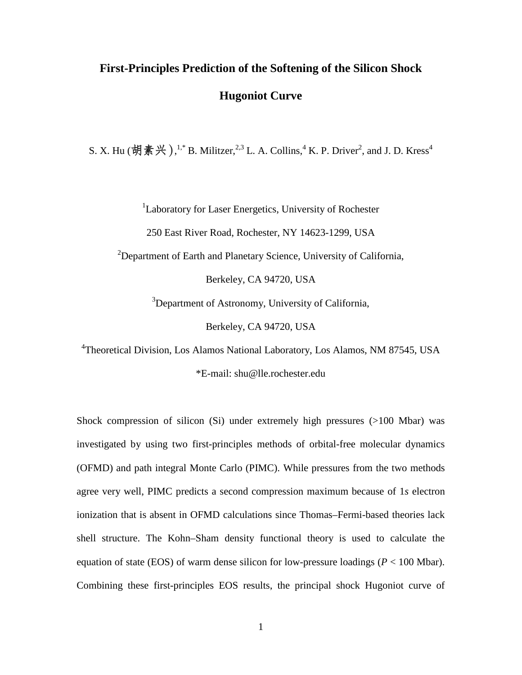# **First-Principles Prediction of the Softening of the Silicon Shock Hugoniot Curve**

S. X. Hu (胡素兴),<sup>1,\*</sup> B. Militzer,<sup>2,3</sup> L. A. Collins,<sup>4</sup> K. P. Driver<sup>2</sup>, and J. D. Kress<sup>4</sup>

<sup>1</sup>Laboratory for Laser Energetics, University of Rochester

250 East River Road, Rochester, NY 14623-1299, USA

 $2$ Department of Earth and Planetary Science, University of California,

Berkeley, CA 94720, USA

<sup>3</sup>Department of Astronomy, University of California,

Berkeley, CA 94720, USA

<sup>4</sup>Theoretical Division, Los Alamos National Laboratory, Los Alamos, NM 87545, USA

\*E-mail: shu@lle.rochester.edu

Shock compression of silicon (Si) under extremely high pressures (>100 Mbar) was investigated by using two first-principles methods of orbital-free molecular dynamics (OFMD) and path integral Monte Carlo (PIMC). While pressures from the two methods agree very well, PIMC predicts a second compression maximum because of 1*s* electron ionization that is absent in OFMD calculations since Thomas–Fermi-based theories lack shell structure. The Kohn–Sham density functional theory is used to calculate the equation of state (EOS) of warm dense silicon for low-pressure loadings ( $P < 100$  Mbar). Combining these first-principles EOS results, the principal shock Hugoniot curve of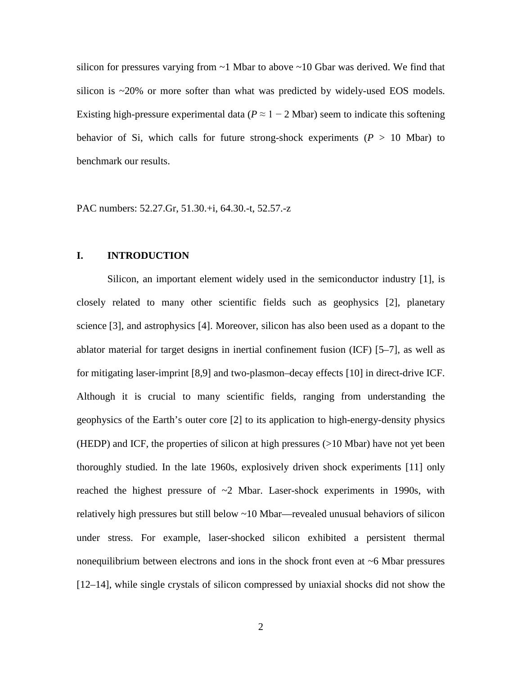silicon for pressures varying from  $\sim$ 1 Mbar to above  $\sim$ 10 Gbar was derived. We find that silicon is ~20% or more softer than what was predicted by widely-used EOS models. Existing high-pressure experimental data ( $P \approx 1 - 2$  Mbar) seem to indicate this softening behavior of Si, which calls for future strong-shock experiments  $(P > 10$  Mbar) to benchmark our results.

PAC numbers: 52.27.Gr, 51.30.+i, 64.30.-t, 52.57.-z

# **I. INTRODUCTION**

Silicon, an important element widely used in the semiconductor industry [1], is closely related to many other scientific fields such as geophysics [2], planetary science [3], and astrophysics [4]. Moreover, silicon has also been used as a dopant to the ablator material for target designs in inertial confinement fusion (ICF) [5–7], as well as for mitigating laser-imprint [8,9] and two-plasmon–decay effects [10] in direct-drive ICF. Although it is crucial to many scientific fields, ranging from understanding the geophysics of the Earth's outer core [2] to its application to high-energy-density physics (HEDP) and ICF, the properties of silicon at high pressures (>10 Mbar) have not yet been thoroughly studied. In the late 1960s, explosively driven shock experiments [11] only reached the highest pressure of  $\sim$ 2 Mbar. Laser-shock experiments in 1990s, with relatively high pressures but still below ~10 Mbar—revealed unusual behaviors of silicon under stress. For example, laser-shocked silicon exhibited a persistent thermal nonequilibrium between electrons and ions in the shock front even at  $\sim$ 6 Mbar pressures [12–14], while single crystals of silicon compressed by uniaxial shocks did not show the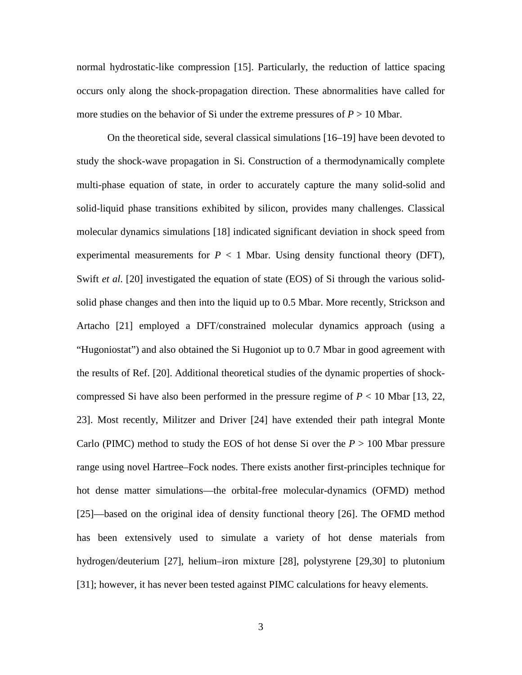normal hydrostatic-like compression [15]. Particularly, the reduction of lattice spacing occurs only along the shock-propagation direction. These abnormalities have called for more studies on the behavior of Si under the extreme pressures of  $P > 10$  Mbar.

On the theoretical side, several classical simulations [16–19] have been devoted to study the shock-wave propagation in Si. Construction of a thermodynamically complete multi-phase equation of state, in order to accurately capture the many solid-solid and solid-liquid phase transitions exhibited by silicon, provides many challenges. Classical molecular dynamics simulations [18] indicated significant deviation in shock speed from experimental measurements for  $P < 1$  Mbar. Using density functional theory (DFT), Swift *et al*. [20] investigated the equation of state (EOS) of Si through the various solidsolid phase changes and then into the liquid up to 0.5 Mbar. More recently, Strickson and Artacho [21] employed a DFT/constrained molecular dynamics approach (using a "Hugoniostat") and also obtained the Si Hugoniot up to 0.7 Mbar in good agreement with the results of Ref. [20]. Additional theoretical studies of the dynamic properties of shockcompressed Si have also been performed in the pressure regime of  $P < 10$  Mbar [13, 22, 23]. Most recently, Militzer and Driver [24] have extended their path integral Monte Carlo (PIMC) method to study the EOS of hot dense Si over the *P* > 100 Mbar pressure range using novel Hartree–Fock nodes. There exists another first-principles technique for hot dense matter simulations—the orbital-free molecular-dynamics (OFMD) method [25]—based on the original idea of density functional theory [26]. The OFMD method has been extensively used to simulate a variety of hot dense materials from hydrogen/deuterium [27], helium–iron mixture [28], polystyrene [29,30] to plutonium [31]; however, it has never been tested against PIMC calculations for heavy elements.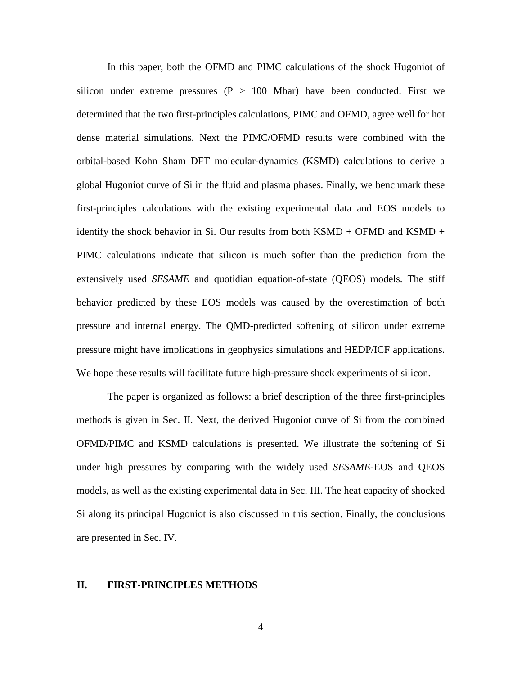In this paper, both the OFMD and PIMC calculations of the shock Hugoniot of silicon under extreme pressures  $(P > 100$  Mbar) have been conducted. First we determined that the two first-principles calculations, PIMC and OFMD, agree well for hot dense material simulations. Next the PIMC/OFMD results were combined with the orbital-based Kohn–Sham DFT molecular-dynamics (KSMD) calculations to derive a global Hugoniot curve of Si in the fluid and plasma phases. Finally, we benchmark these first-principles calculations with the existing experimental data and EOS models to identify the shock behavior in Si. Our results from both  $KSMD + OFMD$  and  $KSMD +$ PIMC calculations indicate that silicon is much softer than the prediction from the extensively used *SESAME* and quotidian equation-of-state (QEOS) models. The stiff behavior predicted by these EOS models was caused by the overestimation of both pressure and internal energy. The QMD-predicted softening of silicon under extreme pressure might have implications in geophysics simulations and HEDP/ICF applications. We hope these results will facilitate future high-pressure shock experiments of silicon.

The paper is organized as follows: a brief description of the three first-principles methods is given in Sec. II. Next, the derived Hugoniot curve of Si from the combined OFMD/PIMC and KSMD calculations is presented. We illustrate the softening of Si under high pressures by comparing with the widely used *SESAME*-EOS and QEOS models, as well as the existing experimental data in Sec. III. The heat capacity of shocked Si along its principal Hugoniot is also discussed in this section. Finally, the conclusions are presented in Sec. IV.

#### **II. FIRST-PRINCIPLES METHODS**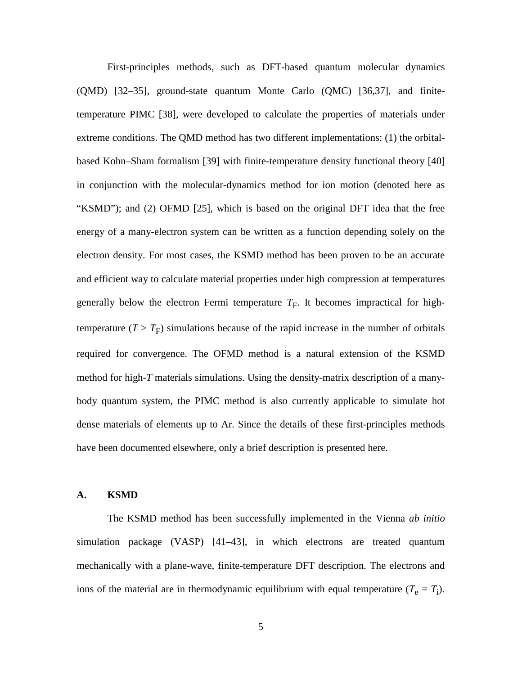First-principles methods, such as DFT-based quantum molecular dynamics (QMD) [32–35], ground-state quantum Monte Carlo (QMC) [36,37], and finitetemperature PIMC [38], were developed to calculate the properties of materials under extreme conditions. The QMD method has two different implementations: (1) the orbitalbased Kohn–Sham formalism [39] with finite-temperature density functional theory [40] in conjunction with the molecular-dynamics method for ion motion (denoted here as "KSMD"); and (2) OFMD [25], which is based on the original DFT idea that the free energy of a many-electron system can be written as a function depending solely on the electron density. For most cases, the KSMD method has been proven to be an accurate and efficient way to calculate material properties under high compression at temperatures generally below the electron Fermi temperature  $T_F$ . It becomes impractical for hightemperature  $(T > T_F)$  simulations because of the rapid increase in the number of orbitals required for convergence. The OFMD method is a natural extension of the KSMD method for high-*T* materials simulations. Using the density-matrix description of a manybody quantum system, the PIMC method is also currently applicable to simulate hot dense materials of elements up to Ar. Since the details of these first-principles methods have been documented elsewhere, only a brief description is presented here.

#### **A. KSMD**

The KSMD method has been successfully implemented in the Vienna *ab initio* simulation package (VASP) [41–43], in which electrons are treated quantum mechanically with a plane-wave, finite-temperature DFT description. The electrons and ions of the material are in thermodynamic equilibrium with equal temperature  $(T_e = T_i)$ .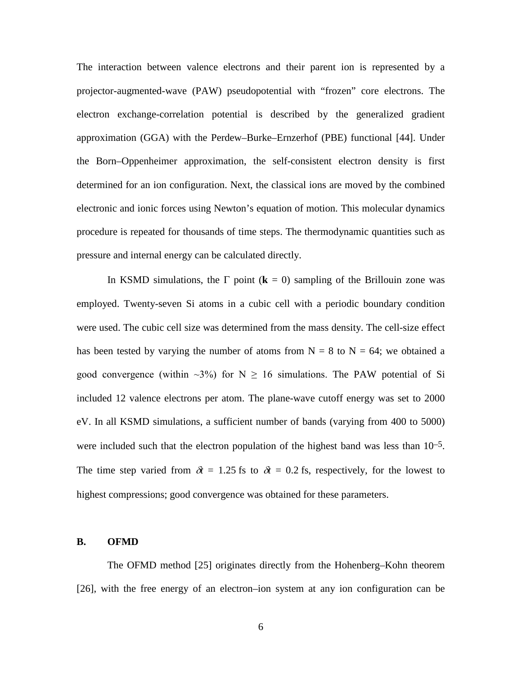The interaction between valence electrons and their parent ion is represented by a projector-augmented-wave (PAW) pseudopotential with "frozen" core electrons. The electron exchange-correlation potential is described by the generalized gradient approximation (GGA) with the Perdew–Burke–Ernzerhof (PBE) functional [44]. Under the Born–Oppenheimer approximation, the self-consistent electron density is first determined for an ion configuration. Next, the classical ions are moved by the combined electronic and ionic forces using Newton's equation of motion. This molecular dynamics procedure is repeated for thousands of time steps. The thermodynamic quantities such as pressure and internal energy can be calculated directly.

In KSMD simulations, the  $\Gamma$  point ( $\mathbf{k} = 0$ ) sampling of the Brillouin zone was employed. Twenty-seven Si atoms in a cubic cell with a periodic boundary condition were used. The cubic cell size was determined from the mass density. The cell-size effect has been tested by varying the number of atoms from  $N = 8$  to  $N = 64$ ; we obtained a good convergence (within  $\sim 3\%$ ) for N  $\geq 16$  simulations. The PAW potential of Si included 12 valence electrons per atom. The plane-wave cutoff energy was set to 2000 eV. In all KSMD simulations, a sufficient number of bands (varying from 400 to 5000) were included such that the electron population of the highest band was less than  $10^{-5}$ . The time step varied from  $\delta t = 1.25$  fs to  $\delta t = 0.2$  fs, respectively, for the lowest to highest compressions; good convergence was obtained for these parameters.

#### **B. OFMD**

The OFMD method [25] originates directly from the Hohenberg–Kohn theorem [26], with the free energy of an electron–ion system at any ion configuration can be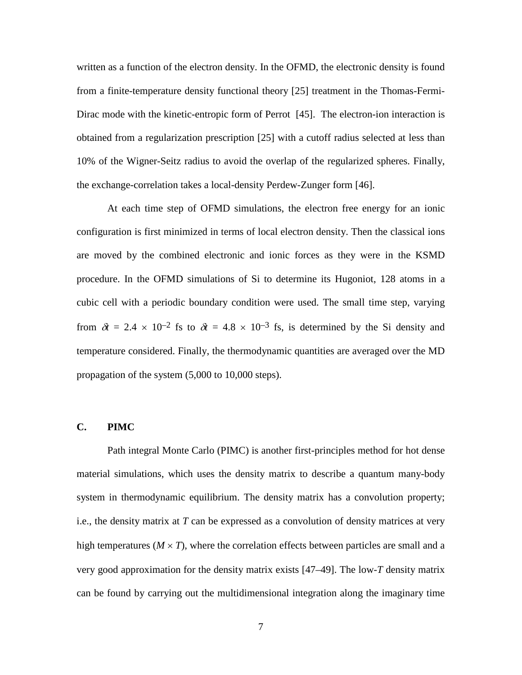written as a function of the electron density. In the OFMD, the electronic density is found from a finite-temperature density functional theory [25] treatment in the Thomas-Fermi-Dirac mode with the kinetic-entropic form of Perrot [45]. The electron-ion interaction is obtained from a regularization prescription [25] with a cutoff radius selected at less than 10% of the Wigner-Seitz radius to avoid the overlap of the regularized spheres. Finally, the exchange-correlation takes a local-density Perdew-Zunger form [46].

At each time step of OFMD simulations, the electron free energy for an ionic configuration is first minimized in terms of local electron density. Then the classical ions are moved by the combined electronic and ionic forces as they were in the KSMD procedure. In the OFMD simulations of Si to determine its Hugoniot, 128 atoms in a cubic cell with a periodic boundary condition were used. The small time step, varying from  $\delta t = 2.4 \times 10^{-2}$  fs to  $\delta t = 4.8 \times 10^{-3}$  fs, is determined by the Si density and temperature considered. Finally, the thermodynamic quantities are averaged over the MD propagation of the system (5,000 to 10,000 steps).

## **C. PIMC**

Path integral Monte Carlo (PIMC) is another first-principles method for hot dense material simulations, which uses the density matrix to describe a quantum many-body system in thermodynamic equilibrium. The density matrix has a convolution property; i.e., the density matrix at *T* can be expressed as a convolution of density matrices at very high temperatures ( $M \times T$ ), where the correlation effects between particles are small and a very good approximation for the density matrix exists [47–49]. The low-*T* density matrix can be found by carrying out the multidimensional integration along the imaginary time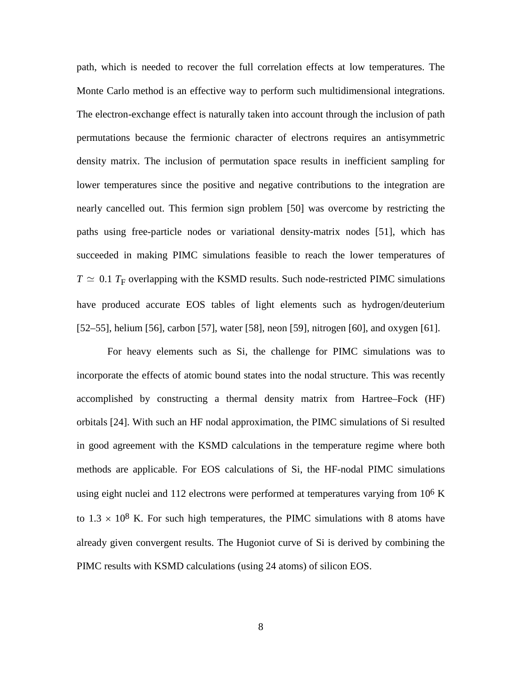path, which is needed to recover the full correlation effects at low temperatures. The Monte Carlo method is an effective way to perform such multidimensional integrations. The electron-exchange effect is naturally taken into account through the inclusion of path permutations because the fermionic character of electrons requires an antisymmetric density matrix. The inclusion of permutation space results in inefficient sampling for lower temperatures since the positive and negative contributions to the integration are nearly cancelled out. This fermion sign problem [50] was overcome by restricting the paths using free-particle nodes or variational density-matrix nodes [51], which has succeeded in making PIMC simulations feasible to reach the lower temperatures of  $T \simeq 0.1 T_F$  overlapping with the KSMD results. Such node-restricted PIMC simulations have produced accurate EOS tables of light elements such as hydrogen/deuterium [52–55], helium [56], carbon [57], water [58], neon [59], nitrogen [60], and oxygen [61].

For heavy elements such as Si, the challenge for PIMC simulations was to incorporate the effects of atomic bound states into the nodal structure. This was recently accomplished by constructing a thermal density matrix from Hartree–Fock (HF) orbitals [24]. With such an HF nodal approximation, the PIMC simulations of Si resulted in good agreement with the KSMD calculations in the temperature regime where both methods are applicable. For EOS calculations of Si, the HF-nodal PIMC simulations using eight nuclei and 112 electrons were performed at temperatures varying from  $10^6$  K to  $1.3 \times 10^8$  K. For such high temperatures, the PIMC simulations with 8 atoms have already given convergent results. The Hugoniot curve of Si is derived by combining the PIMC results with KSMD calculations (using 24 atoms) of silicon EOS.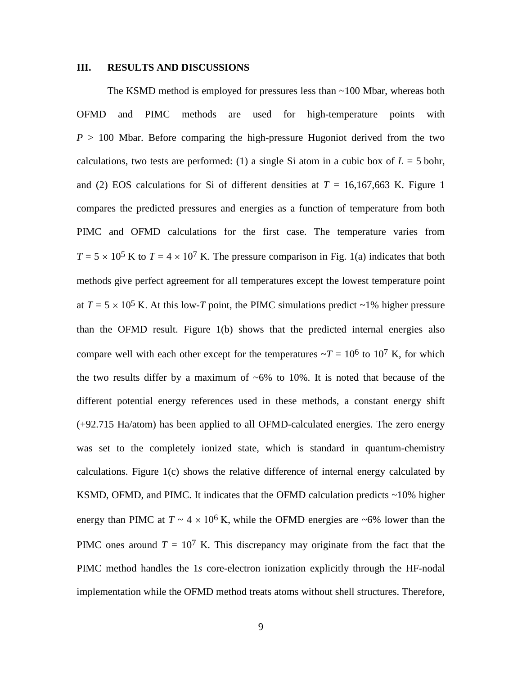#### **III. RESULTS AND DISCUSSIONS**

The KSMD method is employed for pressures less than ~100 Mbar, whereas both OFMD and PIMC methods are used for high-temperature points with  $P > 100$  Mbar. Before comparing the high-pressure Hugoniot derived from the two calculations, two tests are performed: (1) a single Si atom in a cubic box of  $L = 5$  bohr, and (2) EOS calculations for Si of different densities at  $T = 16,167,663$  K. Figure 1 compares the predicted pressures and energies as a function of temperature from both PIMC and OFMD calculations for the first case. The temperature varies from  $T = 5 \times 10^5$  K to  $T = 4 \times 10^7$  K. The pressure comparison in Fig. 1(a) indicates that both methods give perfect agreement for all temperatures except the lowest temperature point at  $T = 5 \times 10^5$  K. At this low-*T* point, the PIMC simulations predict ~1% higher pressure than the OFMD result. Figure 1(b) shows that the predicted internal energies also compare well with each other except for the temperatures  $\sim T = 10^6$  to 10<sup>7</sup> K, for which the two results differ by a maximum of  $\sim 6\%$  to 10%. It is noted that because of the different potential energy references used in these methods, a constant energy shift (+92.715 Ha/atom) has been applied to all OFMD-calculated energies. The zero energy was set to the completely ionized state, which is standard in quantum-chemistry calculations. Figure 1(c) shows the relative difference of internal energy calculated by KSMD, OFMD, and PIMC. It indicates that the OFMD calculation predicts ~10% higher energy than PIMC at  $T \sim 4 \times 10^6$  K, while the OFMD energies are ~6% lower than the PIMC ones around  $T = 10<sup>7</sup>$  K. This discrepancy may originate from the fact that the PIMC method handles the 1*s* core-electron ionization explicitly through the HF-nodal implementation while the OFMD method treats atoms without shell structures. Therefore,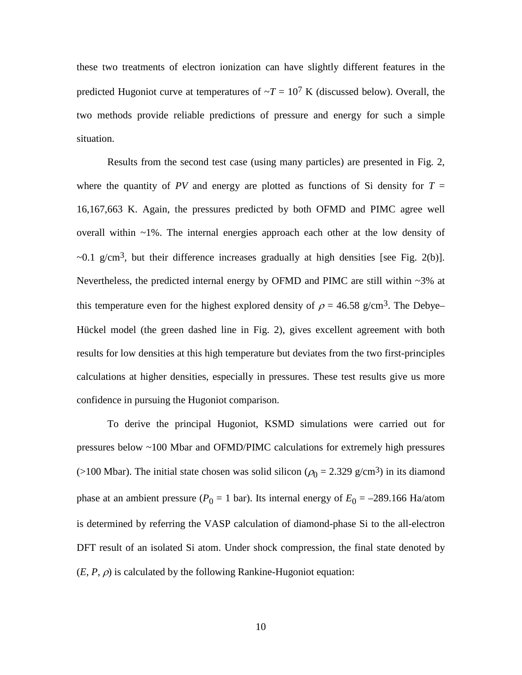these two treatments of electron ionization can have slightly different features in the predicted Hugoniot curve at temperatures of  $\sim T = 10^7$  K (discussed below). Overall, the two methods provide reliable predictions of pressure and energy for such a simple situation.

Results from the second test case (using many particles) are presented in Fig. 2, where the quantity of *PV* and energy are plotted as functions of Si density for  $T =$ 16,167,663 K. Again, the pressures predicted by both OFMD and PIMC agree well overall within  $\sim$ 1%. The internal energies approach each other at the low density of  $\sim$ 0.1 g/cm<sup>3</sup>, but their difference increases gradually at high densities [see Fig. 2(b)]. Nevertheless, the predicted internal energy by OFMD and PIMC are still within ~3% at this temperature even for the highest explored density of  $\rho = 46.58$  g/cm<sup>3</sup>. The Debye– Hückel model (the green dashed line in Fig. 2), gives excellent agreement with both results for low densities at this high temperature but deviates from the two first-principles calculations at higher densities, especially in pressures. These test results give us more confidence in pursuing the Hugoniot comparison.

To derive the principal Hugoniot, KSMD simulations were carried out for pressures below ~100 Mbar and OFMD/PIMC calculations for extremely high pressures (>100 Mbar). The initial state chosen was solid silicon ( $\rho_0 = 2.329$  g/cm<sup>3</sup>) in its diamond phase at an ambient pressure ( $P_0 = 1$  bar). Its internal energy of  $E_0 = -289.166$  Ha/atom is determined by referring the VASP calculation of diamond-phase Si to the all-electron DFT result of an isolated Si atom. Under shock compression, the final state denoted by  $(E, P, \rho)$  is calculated by the following Rankine-Hugoniot equation: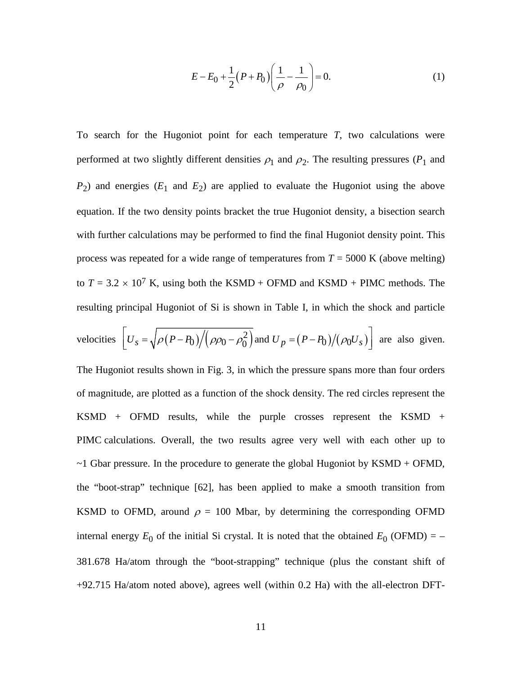$$
E - E_0 + \frac{1}{2} (P + P_0) \left( \frac{1}{\rho} - \frac{1}{\rho_0} \right) = 0.
$$
 (1)

To search for the Hugoniot point for each temperature *T*, two calculations were performed at two slightly different densities  $\rho_1$  and  $\rho_2$ . The resulting pressures ( $P_1$  and  $P_2$ ) and energies ( $E_1$  and  $E_2$ ) are applied to evaluate the Hugoniot using the above equation. If the two density points bracket the true Hugoniot density, a bisection search with further calculations may be performed to find the final Hugoniot density point. This process was repeated for a wide range of temperatures from  $T = 5000$  K (above melting) to  $T = 3.2 \times 10^7$  K, using both the KSMD + OFMD and KSMD + PIMC methods. The resulting principal Hugoniot of Si is shown in Table I, in which the shock and particle

velocities 
$$
\left[ U_s = \sqrt{\rho (P - P_0)} / (\rho \rho_0 - \rho_0^2) \right]
$$
 and  $U_p = (P - P_0) / (\rho_0 U_s) \right]$  are also given.

The Hugoniot results shown in Fig. 3, in which the pressure spans more than four orders of magnitude, are plotted as a function of the shock density. The red circles represent the KSMD + OFMD results, while the purple crosses represent the KSMD + PIMC calculations. Overall, the two results agree very well with each other up to  $\sim$ 1 Gbar pressure. In the procedure to generate the global Hugoniot by KSMD + OFMD, the "boot-strap" technique [62], has been applied to make a smooth transition from KSMD to OFMD, around  $\rho = 100$  Mbar, by determining the corresponding OFMD internal energy  $E_0$  of the initial Si crystal. It is noted that the obtained  $E_0$  (OFMD) = – 381.678 Ha/atom through the "boot-strapping" technique (plus the constant shift of +92.715 Ha/atom noted above), agrees well (within 0.2 Ha) with the all-electron DFT-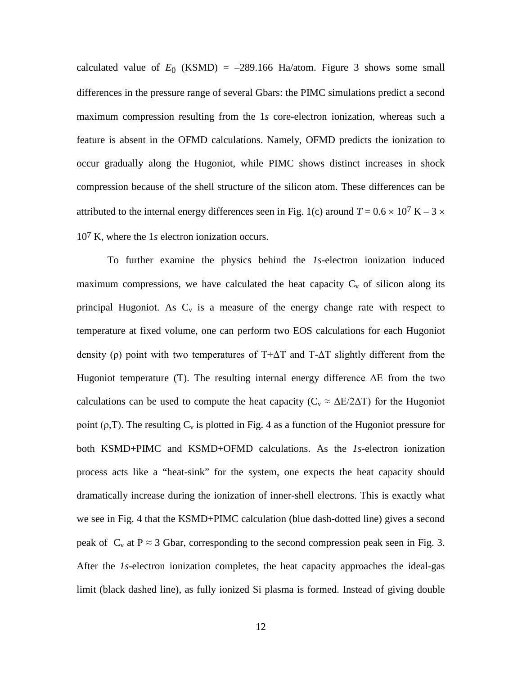calculated value of  $E_0$  (KSMD) = -289.166 Ha/atom. Figure 3 shows some small differences in the pressure range of several Gbars: the PIMC simulations predict a second maximum compression resulting from the 1*s* core-electron ionization, whereas such a feature is absent in the OFMD calculations. Namely, OFMD predicts the ionization to occur gradually along the Hugoniot, while PIMC shows distinct increases in shock compression because of the shell structure of the silicon atom. These differences can be attributed to the internal energy differences seen in Fig. 1(c) around  $T = 0.6 \times 10^7$  K – 3  $\times$ 107 K, where the 1*s* electron ionization occurs.

To further examine the physics behind the *1s*-electron ionization induced maximum compressions, we have calculated the heat capacity  $C_v$  of silicon along its principal Hugoniot. As  $C_v$  is a measure of the energy change rate with respect to temperature at fixed volume, one can perform two EOS calculations for each Hugoniot density (ρ) point with two temperatures of T+ $\Delta$ T and T- $\Delta$ T slightly different from the Hugoniot temperature (T). The resulting internal energy difference  $\Delta E$  from the two calculations can be used to compute the heat capacity ( $C_v \approx \Delta E / 2\Delta T$ ) for the Hugoniot point ( $\rho$ ,T). The resulting  $C_v$  is plotted in Fig. 4 as a function of the Hugoniot pressure for both KSMD+PIMC and KSMD+OFMD calculations. As the *1s*-electron ionization process acts like a "heat-sink" for the system, one expects the heat capacity should dramatically increase during the ionization of inner-shell electrons. This is exactly what we see in Fig. 4 that the KSMD+PIMC calculation (blue dash-dotted line) gives a second peak of  $C_v$  at  $P \approx 3$  Gbar, corresponding to the second compression peak seen in Fig. 3. After the *1s*-electron ionization completes, the heat capacity approaches the ideal-gas limit (black dashed line), as fully ionized Si plasma is formed. Instead of giving double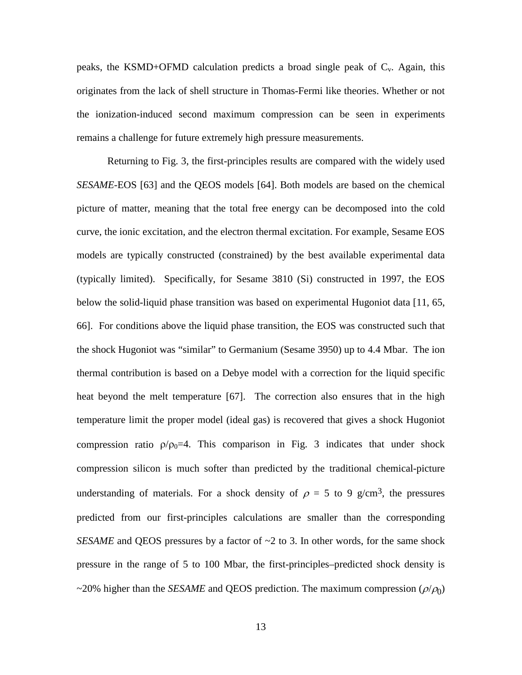peaks, the KSMD+OFMD calculation predicts a broad single peak of  $C_v$ . Again, this originates from the lack of shell structure in Thomas-Fermi like theories. Whether or not the ionization-induced second maximum compression can be seen in experiments remains a challenge for future extremely high pressure measurements.

Returning to Fig. 3, the first-principles results are compared with the widely used *SESAME*-EOS [63] and the QEOS models [64]. Both models are based on the chemical picture of matter, meaning that the total free energy can be decomposed into the cold curve, the ionic excitation, and the electron thermal excitation. For example, Sesame EOS models are typically constructed (constrained) by the best available experimental data (typically limited). Specifically, for Sesame 3810 (Si) constructed in 1997, the EOS below the solid-liquid phase transition was based on experimental Hugoniot data [11, 65, 66]. For conditions above the liquid phase transition, the EOS was constructed such that the shock Hugoniot was "similar" to Germanium (Sesame 3950) up to 4.4 Mbar. The ion thermal contribution is based on a Debye model with a correction for the liquid specific heat beyond the melt temperature [67]. The correction also ensures that in the high temperature limit the proper model (ideal gas) is recovered that gives a shock Hugoniot compression ratio  $\rho/\rho_0=4$ . This comparison in Fig. 3 indicates that under shock compression silicon is much softer than predicted by the traditional chemical-picture understanding of materials. For a shock density of  $\rho = 5$  to 9 g/cm<sup>3</sup>, the pressures predicted from our first-principles calculations are smaller than the corresponding *SESAME* and QEOS pressures by a factor of  $\sim$ 2 to 3. In other words, for the same shock pressure in the range of 5 to 100 Mbar, the first-principles–predicted shock density is  $\sim$ 20% higher than the *SESAME* and QEOS prediction. The maximum compression ( $\rho/\rho_0$ )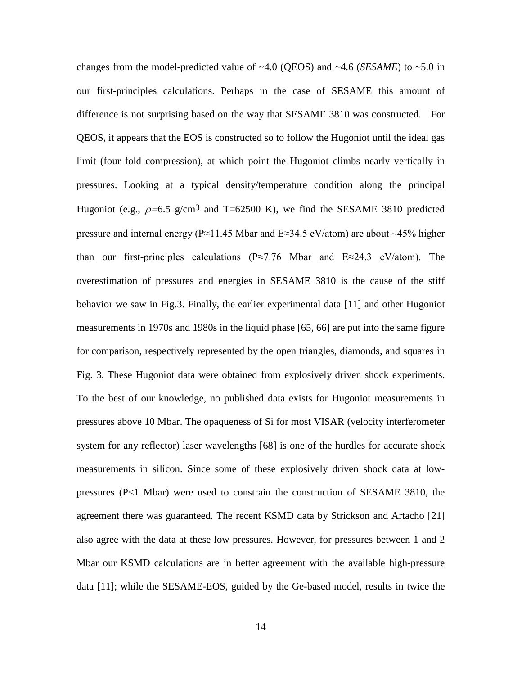changes from the model-predicted value of  $~4.0$  (QEOS) and  $~4.6$  (*SESAME*) to  $~5.0$  in our first-principles calculations. Perhaps in the case of SESAME this amount of difference is not surprising based on the way that SESAME 3810 was constructed. For QEOS, it appears that the EOS is constructed so to follow the Hugoniot until the ideal gas limit (four fold compression), at which point the Hugoniot climbs nearly vertically in pressures. Looking at a typical density/temperature condition along the principal Hugoniot (e.g.,  $\rho$ =6.5 g/cm<sup>3</sup> and T=62500 K), we find the SESAME 3810 predicted pressure and internal energy (P≈11.45 Mbar and E≈34.5 eV/atom) are about ~45% higher than our first-principles calculations (P≈7.76 Mbar and E≈24.3 eV/atom). The overestimation of pressures and energies in SESAME 3810 is the cause of the stiff behavior we saw in Fig.3. Finally, the earlier experimental data [11] and other Hugoniot measurements in 1970s and 1980s in the liquid phase [65, 66] are put into the same figure for comparison, respectively represented by the open triangles, diamonds, and squares in Fig. 3. These Hugoniot data were obtained from explosively driven shock experiments. To the best of our knowledge, no published data exists for Hugoniot measurements in pressures above 10 Mbar. The opaqueness of Si for most VISAR (velocity interferometer system for any reflector) laser wavelengths [68] is one of the hurdles for accurate shock measurements in silicon. Since some of these explosively driven shock data at lowpressures (P<1 Mbar) were used to constrain the construction of SESAME 3810, the agreement there was guaranteed. The recent KSMD data by Strickson and Artacho [21] also agree with the data at these low pressures. However, for pressures between 1 and 2 Mbar our KSMD calculations are in better agreement with the available high-pressure data [11]; while the SESAME-EOS, guided by the Ge-based model, results in twice the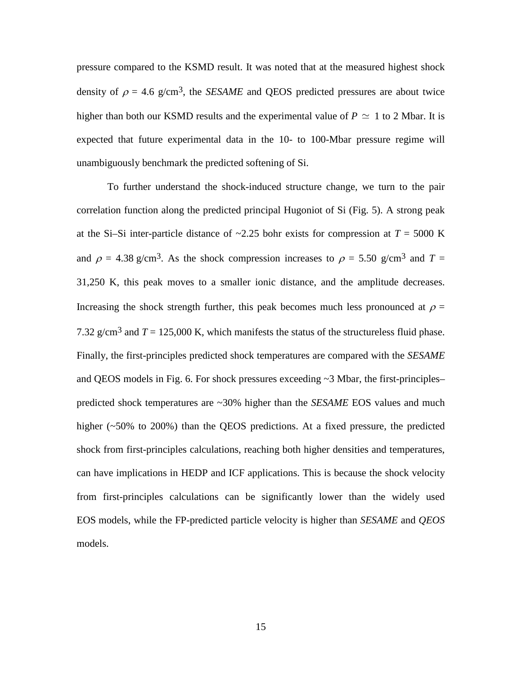pressure compared to the KSMD result. It was noted that at the measured highest shock density of  $\rho = 4.6$  g/cm<sup>3</sup>, the *SESAME* and QEOS predicted pressures are about twice higher than both our KSMD results and the experimental value of  $P \simeq 1$  to 2 Mbar. It is expected that future experimental data in the 10- to 100-Mbar pressure regime will unambiguously benchmark the predicted softening of Si.

To further understand the shock-induced structure change, we turn to the pair correlation function along the predicted principal Hugoniot of Si (Fig. 5). A strong peak at the Si–Si inter-particle distance of  $\sim$ 2.25 bohr exists for compression at  $T = 5000$  K and  $\rho = 4.38$  g/cm<sup>3</sup>. As the shock compression increases to  $\rho = 5.50$  g/cm<sup>3</sup> and  $T =$ 31,250 K, this peak moves to a smaller ionic distance, and the amplitude decreases. Increasing the shock strength further, this peak becomes much less pronounced at  $\rho =$ 7.32 g/cm<sup>3</sup> and  $T = 125,000$  K, which manifests the status of the structureless fluid phase. Finally, the first-principles predicted shock temperatures are compared with the *SESAME* and QEOS models in Fig. 6. For shock pressures exceeding ~3 Mbar, the first-principles– predicted shock temperatures are ~30% higher than the *SESAME* EOS values and much higher (~50% to 200%) than the QEOS predictions. At a fixed pressure, the predicted shock from first-principles calculations, reaching both higher densities and temperatures, can have implications in HEDP and ICF applications. This is because the shock velocity from first-principles calculations can be significantly lower than the widely used EOS models, while the FP-predicted particle velocity is higher than *SESAME* and *QEOS* models.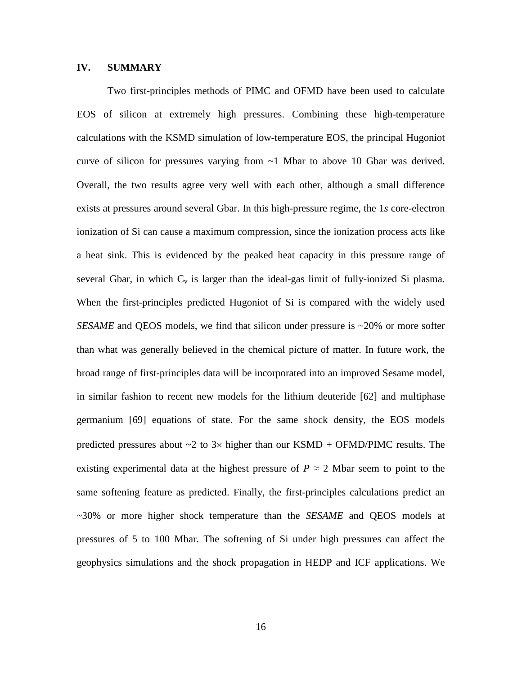# **IV. SUMMARY**

Two first-principles methods of PIMC and OFMD have been used to calculate EOS of silicon at extremely high pressures. Combining these high-temperature calculations with the KSMD simulation of low-temperature EOS, the principal Hugoniot curve of silicon for pressures varying from  $\sim$  1 Mbar to above 10 Gbar was derived. Overall, the two results agree very well with each other, although a small difference exists at pressures around several Gbar. In this high-pressure regime, the 1*s* core-electron ionization of Si can cause a maximum compression, since the ionization process acts like a heat sink. This is evidenced by the peaked heat capacity in this pressure range of several Gbar, in which  $C_v$  is larger than the ideal-gas limit of fully-ionized Si plasma. When the first-principles predicted Hugoniot of Si is compared with the widely used *SESAME* and QEOS models, we find that silicon under pressure is ~20% or more softer than what was generally believed in the chemical picture of matter. In future work, the broad range of first-principles data will be incorporated into an improved Sesame model, in similar fashion to recent new models for the lithium deuteride [62] and multiphase germanium [69] equations of state. For the same shock density, the EOS models predicted pressures about  $\sim$ 2 to 3 $\times$  higher than our KSMD + OFMD/PIMC results. The existing experimental data at the highest pressure of  $P \approx 2$  Mbar seem to point to the same softening feature as predicted. Finally, the first-principles calculations predict an ~30% or more higher shock temperature than the *SESAME* and QEOS models at pressures of 5 to 100 Mbar. The softening of Si under high pressures can affect the geophysics simulations and the shock propagation in HEDP and ICF applications. We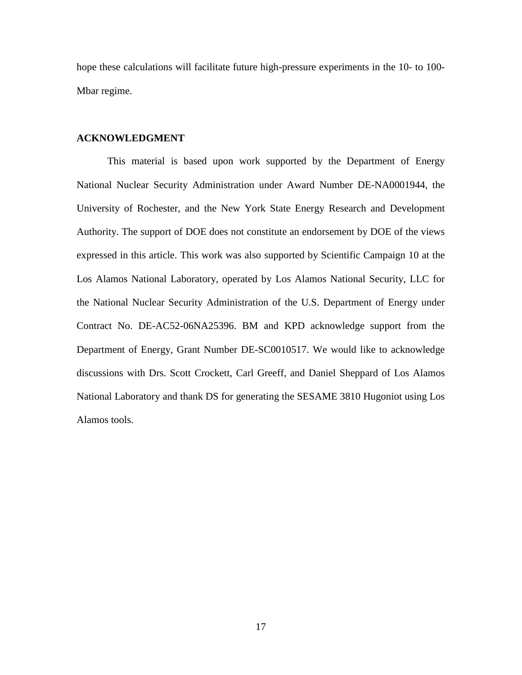hope these calculations will facilitate future high-pressure experiments in the 10- to 100- Mbar regime.

## **ACKNOWLEDGMENT**

This material is based upon work supported by the Department of Energy National Nuclear Security Administration under Award Number DE-NA0001944, the University of Rochester, and the New York State Energy Research and Development Authority. The support of DOE does not constitute an endorsement by DOE of the views expressed in this article. This work was also supported by Scientific Campaign 10 at the Los Alamos National Laboratory, operated by Los Alamos National Security, LLC for the National Nuclear Security Administration of the U.S. Department of Energy under Contract No. DE-AC52-06NA25396. BM and KPD acknowledge support from the Department of Energy, Grant Number DE-SC0010517. We would like to acknowledge discussions with Drs. Scott Crockett, Carl Greeff, and Daniel Sheppard of Los Alamos National Laboratory and thank DS for generating the SESAME 3810 Hugoniot using Los Alamos tools.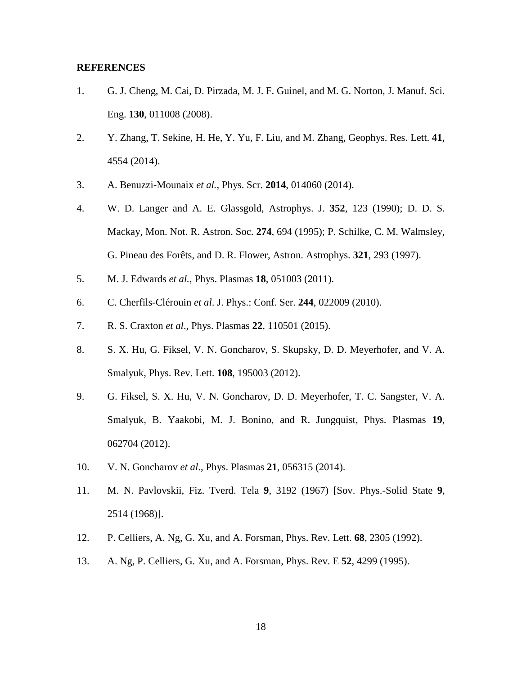## **REFERENCES**

- 1. G. J. Cheng, M. Cai, D. Pirzada, M. J. F. Guinel, and M. G. Norton, J. Manuf. Sci. Eng. **130**, 011008 (2008).
- 2. Y. Zhang, T. Sekine, H. He, Y. Yu, F. Liu, and M. Zhang, Geophys. Res. Lett. **41**, 4554 (2014).
- 3. A. Benuzzi-Mounaix *et al.*, Phys. Scr. **2014**, 014060 (2014).
- 4. W. D. Langer and A. E. Glassgold, Astrophys. J. **352**, 123 (1990); D. D. S. Mackay, Mon. Not. R. Astron. Soc. **274**, 694 (1995); P. Schilke, C. M. Walmsley, G. Pineau des Forêts, and D. R. Flower, Astron. Astrophys. **321**, 293 (1997).
- 5. M. J. Edwards *et al.*, Phys. Plasmas **18**, 051003 (2011).
- 6. C. Cherfils-Clérouin *et al*. J. Phys.: Conf. Ser. **244**, 022009 (2010).
- 7. R. S. Craxton *et al*., Phys. Plasmas **22**, 110501 (2015).
- 8. S. X. Hu, G. Fiksel, V. N. Goncharov, S. Skupsky, D. D. Meyerhofer, and V. A. Smalyuk, Phys. Rev. Lett. **108**, 195003 (2012).
- 9. G. Fiksel, S. X. Hu, V. N. Goncharov, D. D. Meyerhofer, T. C. Sangster, V. A. Smalyuk, B. Yaakobi, M. J. Bonino, and R. Jungquist, Phys. Plasmas **19**, 062704 (2012).
- 10. V. N. Goncharov *et al*., Phys. Plasmas **21**, 056315 (2014).
- 11. M. N. Pavlovskii, Fiz. Tverd. Tela **9**, 3192 (1967) [Sov. Phys.-Solid State **9**, 2514 (1968)].
- 12. P. Celliers, A. Ng, G. Xu, and A. Forsman, Phys. Rev. Lett. **68**, 2305 (1992).
- 13. A. Ng, P. Celliers, G. Xu, and A. Forsman, Phys. Rev. E **52**, 4299 (1995).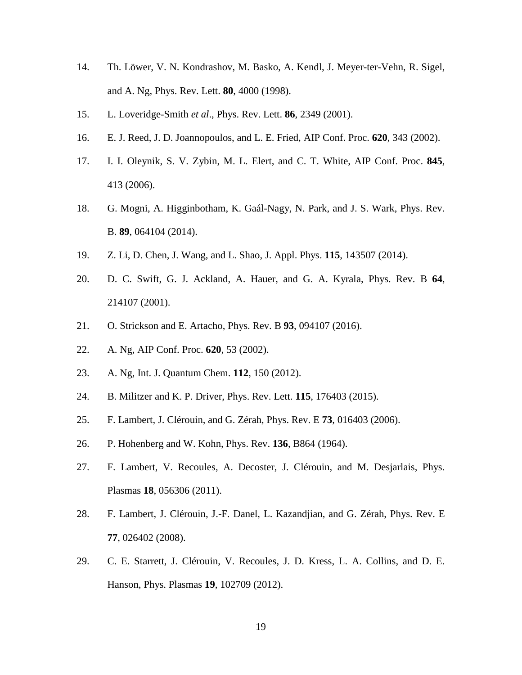- 14. Th. Löwer, V. N. Kondrashov, M. Basko, A. Kendl, J. Meyer-ter-Vehn, R. Sigel, and A. Ng, Phys. Rev. Lett. **80**, 4000 (1998).
- 15. L. Loveridge-Smith *et al*., Phys. Rev. Lett. **86**, 2349 (2001).
- 16. E. J. Reed, J. D. Joannopoulos, and L. E. Fried, AIP Conf. Proc. **620**, 343 (2002).
- 17. I. I. Oleynik, S. V. Zybin, M. L. Elert, and C. T. White, AIP Conf. Proc. **845**, 413 (2006).
- 18. G. Mogni, A. Higginbotham, K. Gaál-Nagy, N. Park, and J. S. Wark, Phys. Rev. B. **89**, 064104 (2014).
- 19. Z. Li, D. Chen, J. Wang, and L. Shao, J. Appl. Phys. **115**, 143507 (2014).
- 20. D. C. Swift, G. J. Ackland, A. Hauer, and G. A. Kyrala, Phys. Rev. B **64**, 214107 (2001).
- 21. O. Strickson and E. Artacho, Phys. Rev. B **93**, 094107 (2016).
- 22. A. Ng, AIP Conf. Proc. **620**, 53 (2002).
- 23. A. Ng, Int. J. Quantum Chem. **112**, 150 (2012).
- 24. B. Militzer and K. P. Driver, Phys. Rev. Lett. **115**, 176403 (2015).
- 25. F. Lambert, J. Clérouin, and G. Zérah, Phys. Rev. E **73**, 016403 (2006).
- 26. P. Hohenberg and W. Kohn, Phys. Rev. **136**, B864 (1964).
- 27. F. Lambert, V. Recoules, A. Decoster, J. Clérouin, and M. Desjarlais, Phys. Plasmas **18**, 056306 (2011).
- 28. F. Lambert, J. Clérouin, J.-F. Danel, L. Kazandjian, and G. Zérah, Phys. Rev. E **77**, 026402 (2008).
- 29. C. E. Starrett, J. Clérouin, V. Recoules, J. D. Kress, L. A. Collins, and D. E. Hanson, Phys. Plasmas **19**, 102709 (2012).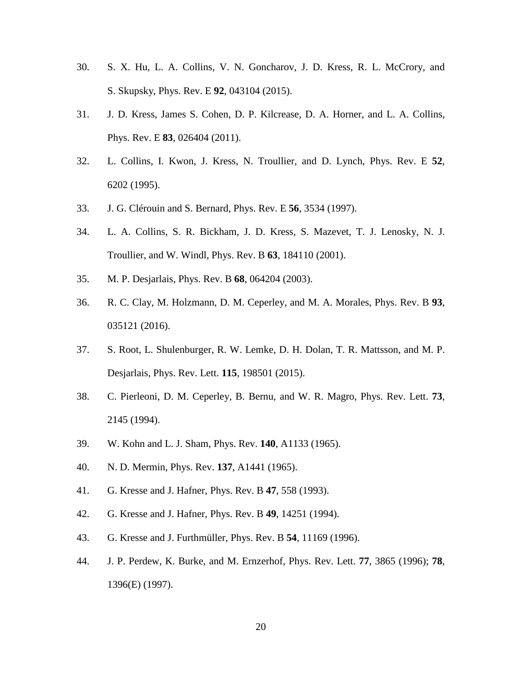- 30. S. X. Hu, L. A. Collins, V. N. Goncharov, J. D. Kress, R. L. McCrory, and S. Skupsky, Phys. Rev. E **92**, 043104 (2015).
- 31. J. D. Kress, James S. Cohen, D. P. Kilcrease, D. A. Horner, and L. A. Collins, Phys. Rev. E **83**, 026404 (2011).
- 32. L. Collins, I. Kwon, J. Kress, N. Troullier, and D. Lynch, Phys. Rev. E **52**, 6202 (1995).
- 33. J. G. Clérouin and S. Bernard, Phys. Rev. E **56**, 3534 (1997).
- 34. L. A. Collins, S. R. Bickham, J. D. Kress, S. Mazevet, T. J. Lenosky, N. J. Troullier, and W. Windl, Phys. Rev. B **63**, 184110 (2001).
- 35. M. P. Desjarlais, Phys. Rev. B **68**, 064204 (2003).
- 36. R. C. Clay, M. Holzmann, D. M. Ceperley, and M. A. Morales, Phys. Rev. B **93**, 035121 (2016).
- 37. S. Root, L. Shulenburger, R. W. Lemke, D. H. Dolan, T. R. Mattsson, and M. P. Desjarlais, Phys. Rev. Lett. **115**, 198501 (2015).
- 38. C. Pierleoni, D. M. Ceperley, B. Bernu, and W. R. Magro, Phys. Rev. Lett. **73**, 2145 (1994).
- 39. W. Kohn and L. J. Sham, Phys. Rev. **140**, A1133 (1965).
- 40. N. D. Mermin, Phys. Rev. **137**, A1441 (1965).
- 41. G. Kresse and J. Hafner, Phys. Rev. B **47**, 558 (1993).
- 42. G. Kresse and J. Hafner, Phys. Rev. B **49**, 14251 (1994).
- 43. G. Kresse and J. Furthmüller, Phys. Rev. B **54**, 11169 (1996).
- 44. J. P. Perdew, K. Burke, and M. Ernzerhof, Phys. Rev. Lett. **77**, 3865 (1996); **78**, 1396(E) (1997).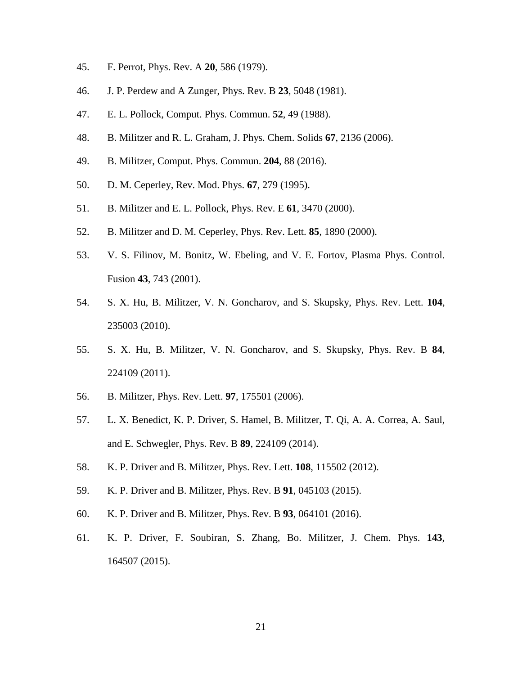- 45. F. Perrot, Phys. Rev. A **20**, 586 (1979).
- 46. J. P. Perdew and A Zunger, Phys. Rev. B **23**, 5048 (1981).
- 47. E. L. Pollock, Comput. Phys. Commun. **52**, 49 (1988).
- 48. B. Militzer and R. L. Graham, J. Phys. Chem. Solids **67**, 2136 (2006).
- 49. B. Militzer, Comput. Phys. Commun. **204**, 88 (2016).
- 50. D. M. Ceperley, Rev. Mod. Phys. **67**, 279 (1995).
- 51. B. Militzer and E. L. Pollock, Phys. Rev. E **61**, 3470 (2000).
- 52. B. Militzer and D. M. Ceperley, Phys. Rev. Lett. **85**, 1890 (2000).
- 53. V. S. Filinov, M. Bonitz, W. Ebeling, and V. E. Fortov, Plasma Phys. Control. Fusion **43**, 743 (2001).
- 54. S. X. Hu, B. Militzer, V. N. Goncharov, and S. Skupsky, Phys. Rev. Lett. **104**, 235003 (2010).
- 55. S. X. Hu, B. Militzer, V. N. Goncharov, and S. Skupsky, Phys. Rev. B **84**, 224109 (2011).
- 56. B. Militzer, Phys. Rev. Lett. **97**, 175501 (2006).
- 57. L. X. Benedict, K. P. Driver, S. Hamel, B. Militzer, T. Qi, A. A. Correa, A. Saul, and E. Schwegler, Phys. Rev. B **89**, 224109 (2014).
- 58. K. P. Driver and B. Militzer, Phys. Rev. Lett. **108**, 115502 (2012).
- 59. K. P. Driver and B. Militzer, Phys. Rev. B **91**, 045103 (2015).
- 60. K. P. Driver and B. Militzer, Phys. Rev. B **93**, 064101 (2016).
- 61. K. P. Driver, F. Soubiran, S. Zhang, Bo. Militzer, J. Chem. Phys. **143**, 164507 (2015).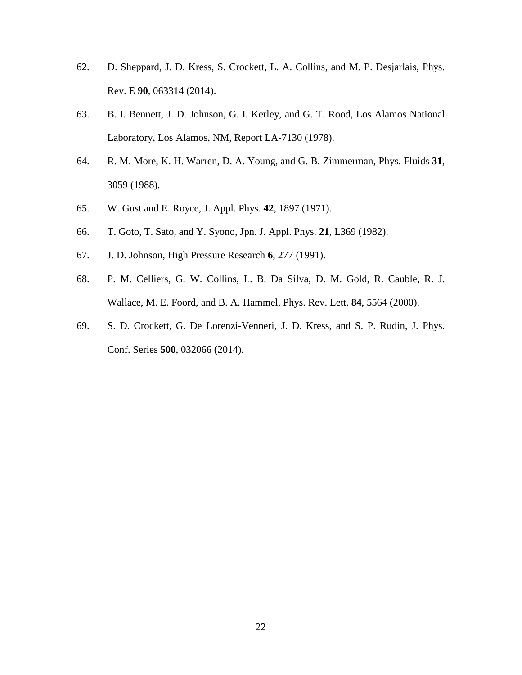- 62. D. Sheppard, J. D. Kress, S. Crockett, L. A. Collins, and M. P. Desjarlais, Phys. Rev. E **90**, 063314 (2014).
- 63. B. I. Bennett, J. D. Johnson, G. I. Kerley, and G. T. Rood, Los Alamos National Laboratory, Los Alamos, NM, Report LA-7130 (1978).
- 64. R. M. More, K. H. Warren, D. A. Young, and G. B. Zimmerman, Phys. Fluids **31**, 3059 (1988).
- 65. W. Gust and E. Royce, J. Appl. Phys. **42**, 1897 (1971).
- 66. T. Goto, T. Sato, and Y. Syono, Jpn. J. Appl. Phys. **21**, L369 (1982).
- 67. J. D. Johnson, High Pressure Research **6**, 277 (1991).
- 68. P. M. Celliers, G. W. Collins, L. B. Da Silva, D. M. Gold, R. Cauble, R. J. Wallace, M. E. Foord, and B. A. Hammel, Phys. Rev. Lett. **84**, 5564 (2000).
- 69. S. D. Crockett, G. De Lorenzi-Venneri, J. D. Kress, and S. P. Rudin, J. Phys. Conf. Series **500**, 032066 (2014).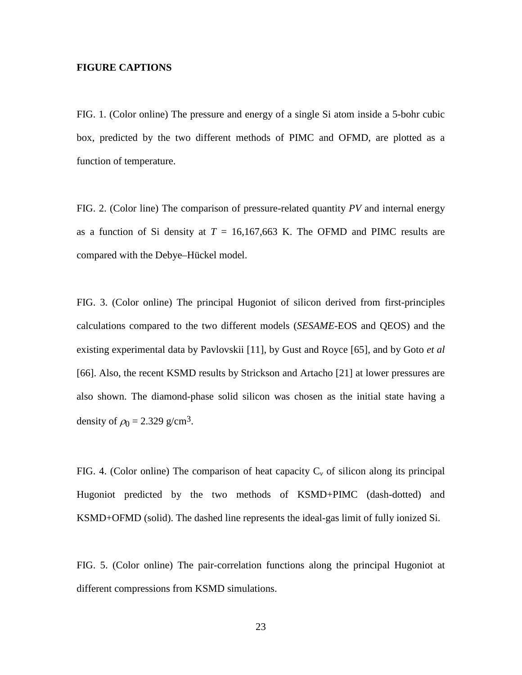## **FIGURE CAPTIONS**

FIG. 1. (Color online) The pressure and energy of a single Si atom inside a 5-bohr cubic box, predicted by the two different methods of PIMC and OFMD, are plotted as a function of temperature.

FIG. 2. (Color line) The comparison of pressure-related quantity *PV* and internal energy as a function of Si density at  $T = 16,167,663$  K. The OFMD and PIMC results are compared with the Debye–Hückel model.

FIG. 3. (Color online) The principal Hugoniot of silicon derived from first-principles calculations compared to the two different models (*SESAME*-EOS and QEOS) and the existing experimental data by Pavlovskii [11], by Gust and Royce [65], and by Goto *et al* [66]. Also, the recent KSMD results by Strickson and Artacho [21] at lower pressures are also shown. The diamond-phase solid silicon was chosen as the initial state having a density of  $\rho_0 = 2.329$  g/cm<sup>3</sup>.

FIG. 4. (Color online) The comparison of heat capacity  $C_v$  of silicon along its principal Hugoniot predicted by the two methods of KSMD+PIMC (dash-dotted) and KSMD+OFMD (solid). The dashed line represents the ideal-gas limit of fully ionized Si.

FIG. 5. (Color online) The pair-correlation functions along the principal Hugoniot at different compressions from KSMD simulations.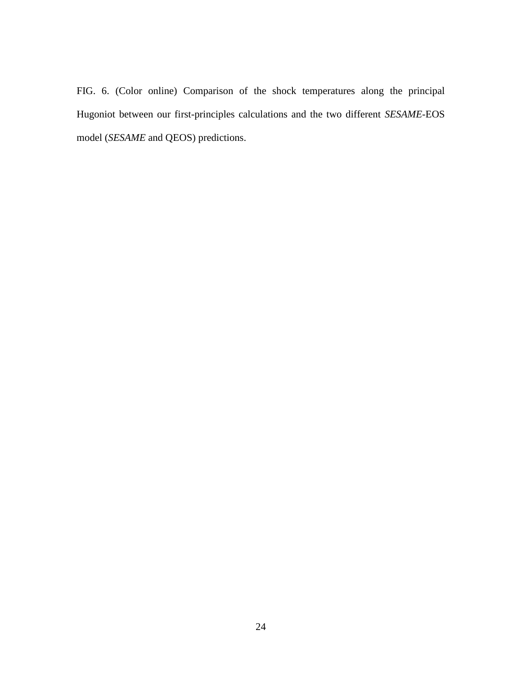FIG. 6. (Color online) Comparison of the shock temperatures along the principal Hugoniot between our first-principles calculations and the two different *SESAME*-EOS model (*SESAME* and QEOS) predictions.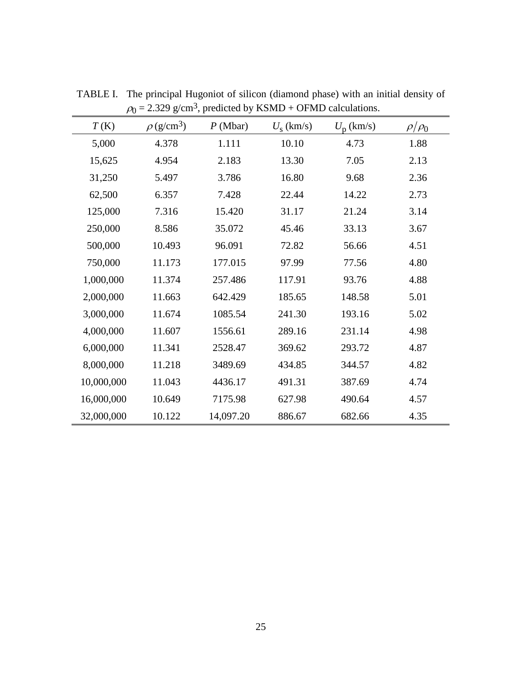| T(K)       | $\rho$ (g/cm <sup>3</sup> ) | $P$ (Mbar) | $U_{\rm s}$ (km/s) | $U_{\rm p}$ (km/s) | $\rho/\rho_0$ |
|------------|-----------------------------|------------|--------------------|--------------------|---------------|
| 5,000      | 4.378                       | 1.111      | 10.10              | 4.73               | 1.88          |
| 15,625     | 4.954                       | 2.183      | 13.30              | 7.05               | 2.13          |
| 31,250     | 5.497                       | 3.786      | 16.80              | 9.68               | 2.36          |
| 62,500     | 6.357                       | 7.428      | 22.44              | 14.22              | 2.73          |
| 125,000    | 7.316                       | 15.420     | 31.17              | 21.24              | 3.14          |
| 250,000    | 8.586                       | 35.072     | 45.46              | 33.13              | 3.67          |
| 500,000    | 10.493                      | 96.091     | 72.82              | 56.66              | 4.51          |
| 750,000    | 11.173                      | 177.015    | 97.99              | 77.56              | 4.80          |
| 1,000,000  | 11.374                      | 257.486    | 117.91             | 93.76              | 4.88          |
| 2,000,000  | 11.663                      | 642.429    | 185.65             | 148.58             | 5.01          |
| 3,000,000  | 11.674                      | 1085.54    | 241.30             | 193.16             | 5.02          |
| 4,000,000  | 11.607                      | 1556.61    | 289.16             | 231.14             | 4.98          |
| 6,000,000  | 11.341                      | 2528.47    | 369.62             | 293.72             | 4.87          |
| 8,000,000  | 11.218                      | 3489.69    | 434.85             | 344.57             | 4.82          |
| 10,000,000 | 11.043                      | 4436.17    | 491.31             | 387.69             | 4.74          |
| 16,000,000 | 10.649                      | 7175.98    | 627.98             | 490.64             | 4.57          |
| 32,000,000 | 10.122                      | 14,097.20  | 886.67             | 682.66             | 4.35          |

TABLE I. The principal Hugoniot of silicon (diamond phase) with an initial density of  $\rho_0 = 2.329$  g/cm<sup>3</sup>, predicted by KSMD + OFMD calculations.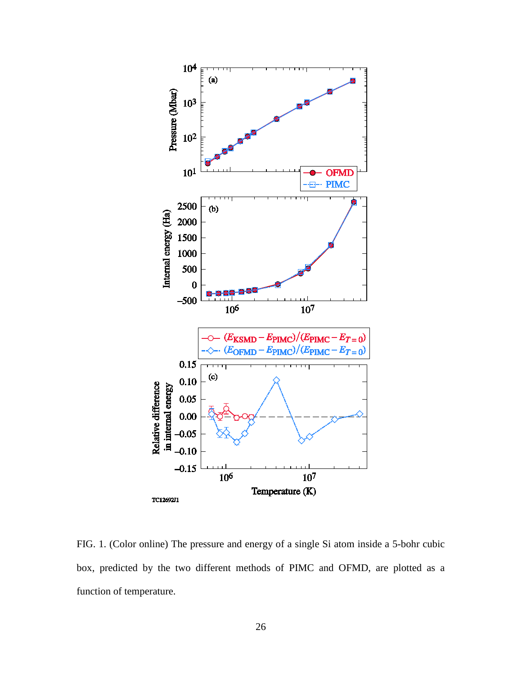

FIG. 1. (Color online) The pressure and energy of a single Si atom inside a 5-bohr cubic box, predicted by the two different methods of PIMC and OFMD, are plotted as a function of temperature.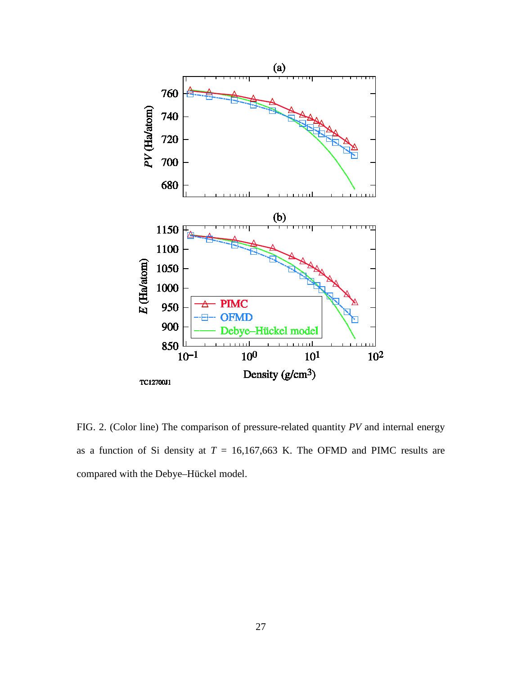

FIG. 2. (Color line) The comparison of pressure-related quantity *PV* and internal energy as a function of Si density at  $T = 16,167,663$  K. The OFMD and PIMC results are compared with the Debye–Hückel model.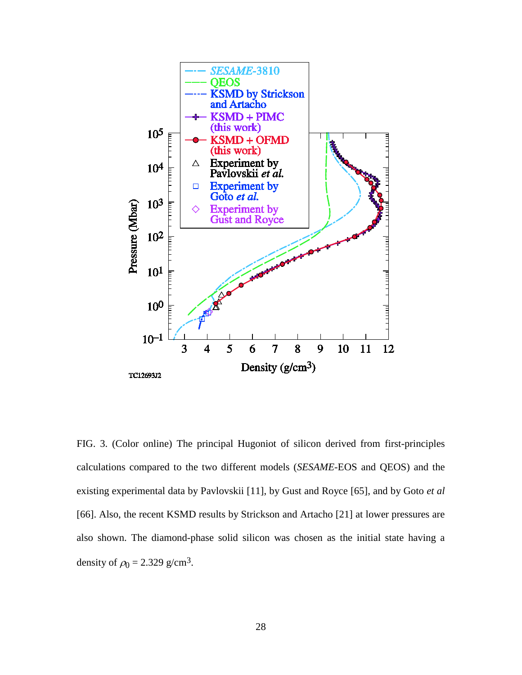

FIG. 3. (Color online) The principal Hugoniot of silicon derived from first-principles calculations compared to the two different models (*SESAME*-EOS and QEOS) and the existing experimental data by Pavlovskii [11], by Gust and Royce [65], and by Goto *et al* [66]. Also, the recent KSMD results by Strickson and Artacho [21] at lower pressures are also shown. The diamond-phase solid silicon was chosen as the initial state having a density of  $\rho_0 = 2.329$  g/cm<sup>3</sup>.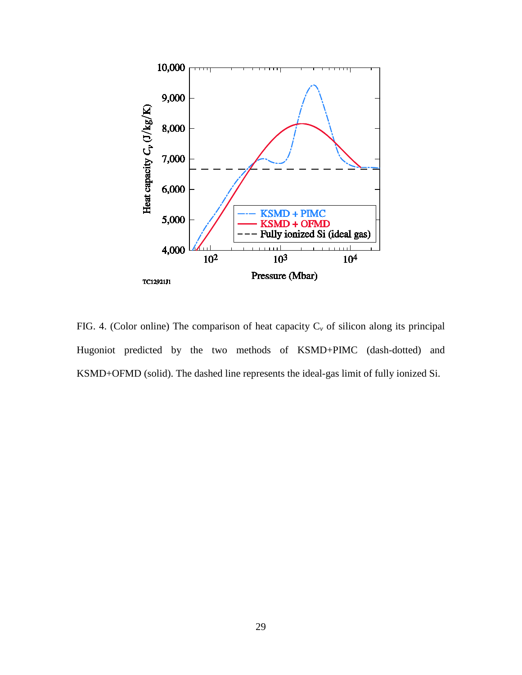

FIG. 4. (Color online) The comparison of heat capacity C<sub>*v*</sub> of silicon along its principal Hugoniot predicted by the two methods of KSMD+PIMC (dash-dotted) and KSMD+OFMD (solid). The dashed line represents the ideal-gas limit of fully ionized Si.